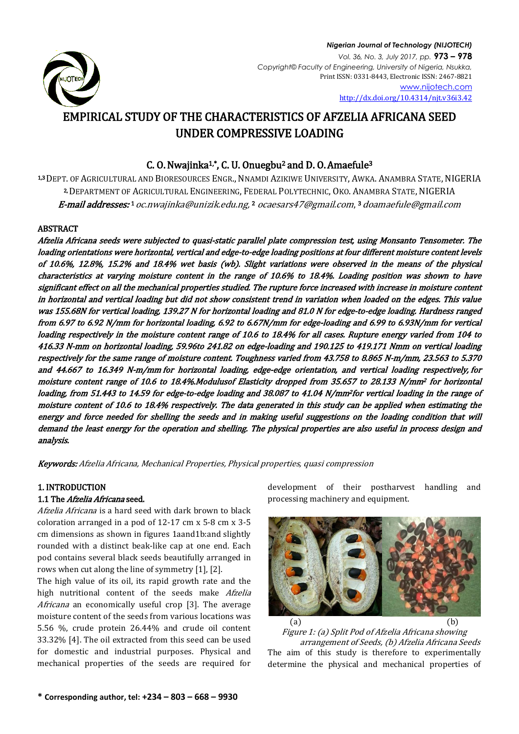

*Nigerian Journal of Technology (NIJOTECH) Vol. 36, No. 3, July 2017, pp.* **973 – 978** *Copyright© Faculty of Engineering, University of Nigeria, Nsukka,*  Print ISSN: 0331-8443, Electronic ISSN: 2467-8821 [www.nijotech.com](http://www.nijotech.com/) <http://dx.doi.org/10.4314/njt.v36i3.42>

# EMPIRICAL STUDY OF THE CHARACTERISTICS OF AFZELIA AFRICANA SEED UNDER COMPRESSIVE LOADING

# C. O. Nwajinka1,\*, C. U. Onuegbu2 and D. O. Amaefule<sup>3</sup>

1,3 DEPT. OF AGRICULTURAL AND BIORESOURCES ENGR., NNAMDI AZIKIWE UNIVERSITY, AWKA. ANAMBRA STATE, NIGERIA 2, DEPARTMENT OF AGRICULTURAL ENGINEERING, FEDERAL POLYTECHNIC, OKO. ANAMBRA STATE, NIGERIA E-mail addresses: 1 [oc.nwajinka@unizik.edu.ng,](mailto:oc.nwajinka@unizik.edu.ng) [2](mailto:2obinwajinka@yahoo.co.uk) [ocaesars47@gmail.com](mailto:ocaesars47@gmail.com), 3 [doamaefule@gmail.com](mailto:3%20doamaefule@gmail.com)

# ABSTRACT

Afzelia Africana seeds were subjected to quasi-static parallel plate compression test, using Monsanto Tensometer. The loading orientations were horizontal, vertical and edge-to-edge loading positions at four different moisture content levels of 10.6%, 12.8%, 15.2% and 18.4% wet basis (wb). Slight variations were observed in the means of the physical characteristics at varying moisture content in the range of 10.6% to 18.4%. Loading position was shown to have significant effect on all the mechanical properties studied. The rupture force increased with increase in moisture content in horizontal and vertical loading but did not show consistent trend in variation when loaded on the edges. This value was 155.68N for vertical loading, 139.27 N for horizontal loading and 81.0 N for edge-to-edge loading. Hardness ranged from 6.97 to 6.92 N/mm for horizontal loading, 6.92 to 6.67N/mm for edge-loading and 6.99 to 6.93N/mm for vertical loading respectively in the moisture content range of 10.6 to 18.4% for all cases. Rupture energy varied from 104 to 416.33 N-mm on horizontal loading, 59.96to 241.82 on edge-loading and 190.125 to 419.171 Nmm on vertical loading respectively for the same range of moisture content. Toughness varied from 43.758 to 8.865 N-m/mm, 23.563 to 5.370 and 44.667 to 16.349 N-m/mm for horizontal loading, edge-edge orientation, and vertical loading respectively, for moisture content range of 10.6 to 18.4%.Modulusof Elasticity dropped from 35.657 to 28.133 N/mm2 for horizontal loading, from 51.443 to 14.59 for edge-to-edge loading and 38.087 to 41.04 N/mm2for vertical loading in the range of moisture content of 10.6 to 18.4% respectively. The data generated in this study can be applied when estimating the energy and force needed for shelling the seeds and in making useful suggestions on the loading condition that will demand the least energy for the operation and shelling. The physical properties are also useful in process design and analysis.

Keywords: Afzelia Africana, Mechanical Properties, Physical properties, quasi compression

# 1. INTRODUCTION

# 1.1 The Afzelia Africana seed.

Afzelia Africana is a hard seed with dark brown to black coloration arranged in a pod of 12-17 cm x 5-8 cm x 3-5 cm dimensions as shown in figures 1aand1b:and slightly rounded with a distinct beak-like cap at one end. Each pod contains several black seeds beautifully arranged in rows when cut along the line of symmetry [1], [2].

The high value of its oil, its rapid growth rate and the high nutritional content of the seeds make Afzelia Africana an economically useful crop [3]. The average moisture content of the seeds from various locations was 5.56 %, crude protein 26.44% and crude oil content 33.32% [4]. The oil extracted from this seed can be used for domestic and industrial purposes. Physical and mechanical properties of the seeds are required for

development of their postharvest handling and processing machinery and equipment.



Figure 1: (a) Split Pod of Afzelia Africana showing arrangement of Seeds, (b) Afzelia Africana Seeds The aim of this study is therefore to experimentally determine the physical and mechanical properties of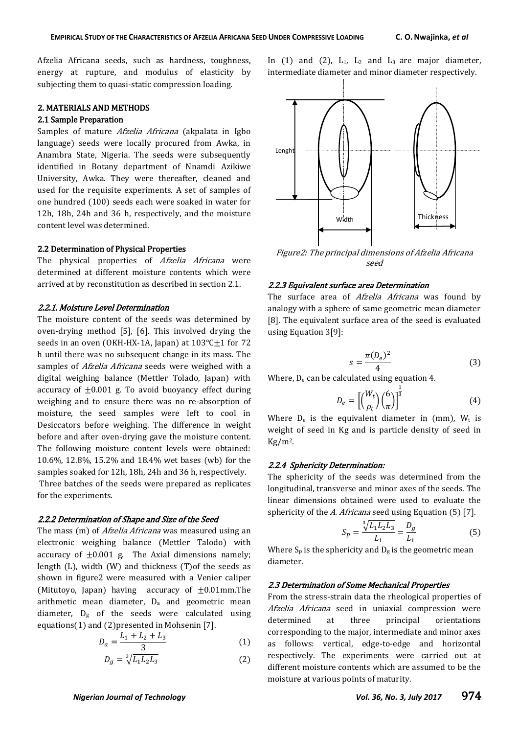Afzelia Africana seeds, such as hardness, toughness, energy at rupture, and modulus of elasticity by subjecting them to quasi-static compression loading.

#### 2. MATERIALS AND METHODS

## 2.1 Sample Preparation

Samples of mature *Afzelia Africana* (akpalata in Igbo language) seeds were locally procured from Awka, in Anambra State, Nigeria. The seeds were subsequently identified in Botany department of Nnamdi Azikiwe University, Awka. They were thereafter, cleaned and used for the requisite experiments. A set of samples of one hundred (100) seeds each were soaked in water for 12h, 18h, 24h and 36 h, respectively, and the moisture content level was determined.

#### 2.2 Determination of Physical Properties

The physical properties of Afzelia Africana were determined at different moisture contents which were arrived at by reconstitution as described in section 2.1.

#### 2.2.1. Moisture Level Determination

The moisture content of the seeds was determined by oven-drying method [5], [6]. This involved drying the seeds in an oven (OKH-HX-1A, Japan) at  $103^{\circ}$ C $\pm$ 1 for 72 h until there was no subsequent change in its mass. The samples of *Afzelia Africana* seeds were weighed with a digital weighing balance (Mettler Tolado, Japan) with accuracy of  $\pm 0.001$  g. To avoid buoyancy effect during weighing and to ensure there was no re-absorption of moisture, the seed samples were left to cool in Desiccators before weighing. The difference in weight before and after oven-drying gave the moisture content. The following moisture content levels were obtained: 10.6%, 12.8%, 15.2% and 18.4% wet bases (wb) for the samples soaked for 12h, 18h, 24h and 36 h, respectively. Three batches of the seeds were prepared as replicates for the experiments.

#### 2.2.2 Determination of Shape and Size of the Seed

The mass (m) of *Afzelia Africana* was measured using an electronic weighing balance (Mettler Talodo) with accuracy of  $\pm 0.001$  g. The Axial dimensions namely; length (L), width (W) and thickness (T)of the seeds as shown in figure2 were measured with a Venier caliper (Mitutoyo, Japan) having accuracy of  $\pm 0.01$ mm.The arithmetic mean diameter,  $D_a$  and geometric mean diameter,  $D_g$  of the seeds were calculated using equations(1) and (2)presented in Mohsenin [7].

$$
D_a = \frac{L_1 + L_2 + L_3}{3} \tag{1}
$$

$$
D_g = \sqrt[3]{L_1 L_2 L_3} \tag{2}
$$



In  $(1)$  and  $(2)$ ,  $L_1$ ,  $L_2$  and  $L_3$  are major diameter,

Figure2: The principal dimensions of Afzelia Africana seed

## 2.2.3 Equivalent surface area Determination

The surface area of Afzelia Africana was found by analogy with a sphere of same geometric mean diameter [8]. The equivalent surface area of the seed is evaluated using Equation 3[9]:

$$
s = \frac{\pi (D_e)^2}{4} \tag{3}
$$

Where,  $D_e$  can be calculated using equation 4.

$$
D_e = \left[ \left( \frac{W_t}{\rho_t} \right) \left( \frac{6}{\pi} \right) \right]^{\frac{1}{3}} \tag{4}
$$

Where  $D_e$  is the equivalent diameter in (mm),  $W_t$  is weight of seed in Kg and is particle density of seed in  $Kg/m<sup>2</sup>$ .

#### 2.2.4 Sphericity Determination:

The sphericity of the seeds was determined from the longitudinal, transverse and minor axes of the seeds. The linear dimensions obtained were used to evaluate the sphericity of the A. Africana seed using Equation (5) [7].

$$
S_p = \frac{\sqrt[3]{L_1 L_2 L_3}}{L_1} = \frac{D_g}{L_1}
$$
 (5)

Where  $S_p$  is the sphericity and  $D_g$  is the geometric mean diameter.

#### 2.3 Determination of Some Mechanical Properties

From the stress-strain data the rheological properties of Afzelia Africana seed in uniaxial compression were determined at three principal orientations corresponding to the major, intermediate and minor axes as follows: vertical, edge-to-edge and horizontal respectively. The experiments were carried out at different moisture contents which are assumed to be the moisture at various points of maturity.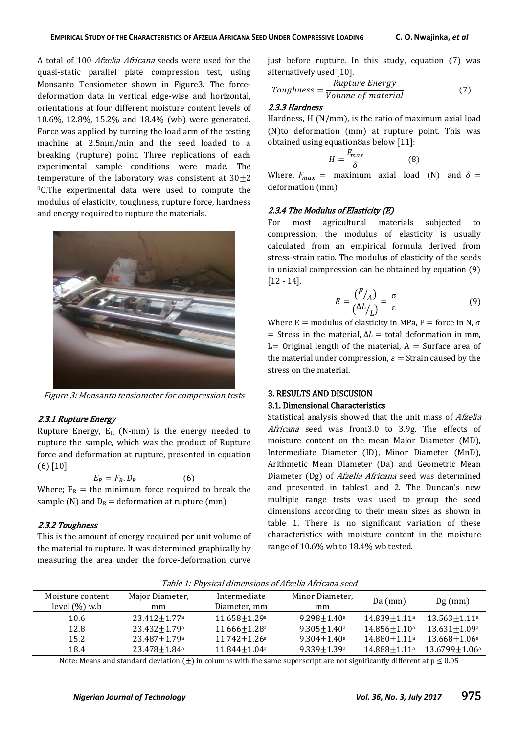A total of 100 Afzelia Africana seeds were used for the quasi-static parallel plate compression test, using Monsanto Tensiometer shown in Figure3. The forcedeformation data in vertical edge-wise and horizontal, orientations at four different moisture content levels of 10.6%, 12.8%, 15.2% and 18.4% (wb) were generated. Force was applied by turning the load arm of the testing machine at 2.5mm/min and the seed loaded to a breaking (rupture) point. Three replications of each experimental sample conditions were made. The temperature of the laboratory was consistent at  $30+2$ <sup>0</sup>C.The experimental data were used to compute the modulus of elasticity, toughness, rupture force, hardness and energy required to rupture the materials.



Figure 3: Monsanto tensiometer for compression tests

#### 2.3.1 Rupture Energy

Rupture Energy,  $E_R$  (N-mm) is the energy needed to rupture the sample, which was the product of Rupture force and deformation at rupture, presented in equation (6) [10].

$$
E_R = F_R \cdot D_R \tag{6}
$$

Where;  $F_R$  = the minimum force required to break the sample (N) and  $D_R =$  deformation at rupture (mm)

#### 2.3.2 Toughness

This is the amount of energy required per unit volume of the material to rupture. It was determined graphically by measuring the area under the force-deformation curve

just before rupture. In this study, equation (7) was alternatively used [10].

Toughness = 
$$
\frac{Rupture Energy}{Volume of material}
$$
 (7)

#### 2.3.3 Hardness

Hardness, H (N/mm), is the ratio of maximum axial load (N)to deformation (mm) at rupture point. This was obtained using equation8as below [11]:

$$
H = \frac{F_{max}}{\delta} \tag{8}
$$

Where,  $F_{max}$  = maximum axial load (N) and  $\delta$  = deformation (mm)

#### 2.3.4 The Modulus of Elasticity (E)

For most agricultural materials subjected to compression, the modulus of elasticity is usually calculated from an empirical formula derived from stress-strain ratio. The modulus of elasticity of the seeds in uniaxial compression can be obtained by equation (9) [12 - 14].

$$
E = \frac{\left(\frac{F}{A}\right)}{\left(\frac{\Delta L}{L}\right)} = \frac{\sigma}{\varepsilon} \tag{9}
$$

Where E = modulus of elasticity in MPa, F = force in N,  $\sigma$  $=$  Stress in the material,  $\Delta L =$  total deformation in mm, L= Original length of the material,  $A =$  Surface area of the material under compression,  $\varepsilon =$  Strain caused by the stress on the material.

#### 3. RESULTS AND DISCUSION

#### 3.1. Dimensional Characteristics

Statistical analysis showed that the unit mass of Afzelia Africana seed was from3.0 to 3.9g. The effects of moisture content on the mean Major Diameter (MD), Intermediate Diameter (ID), Minor Diameter (MnD), Arithmetic Mean Diameter (Da) and Geometric Mean Diameter (Dg) of *Afzelia Africana* seed was determined and presented in tables1 and 2. The Duncan's new multiple range tests was used to group the seed dimensions according to their mean sizes as shown in table 1. There is no significant variation of these characteristics with moisture content in the moisture range of 10.6% wb to 18.4% wb tested.

| Moisture content | Major Diameter,              | Intermediate                   | Minor Diameter,             | $Da$ (mm)                | $Dg$ (mm)          |  |
|------------------|------------------------------|--------------------------------|-----------------------------|--------------------------|--------------------|--|
| level $(\%)$ w.b | mm                           | Diameter, mm                   | mm                          |                          |                    |  |
| 10.6             | $23.412 + 1.77$ <sup>a</sup> | $11.658 + 1.29a$               | $9.298 + 1.40$ <sup>a</sup> | $14.839 + 1.11a$         | $13.563 + 1.11a$   |  |
| 12.8             | $23.432 + 1.79a$             | $11.666 + 1.28$ <sup>a</sup>   | $9.305 + 1.40^a$            | $14.856 + 1.10a$         | $13.631 + 1.09a$   |  |
| 15.2             | $23.487 + 1.79a$             | $11.742 \pm 1.26$ <sup>a</sup> | $9.304 + 1.40$ <sup>a</sup> | $14.880 + 1.11a$         | $13.668 + 1.06a$   |  |
| 18.4             | $23.478 + 1.84$ <sup>a</sup> | $11.844 + 1.04a$               | $9.339 + 1.39a$             | 14.888+1.11 <sup>a</sup> | $13.6799 + 1.06^a$ |  |

Table 1: Physical dimensions of Afzelia Africana seed

Note: Means and standard deviation  $(\pm)$  in columns with the same superscript are not significantly different at  $p \le 0.05$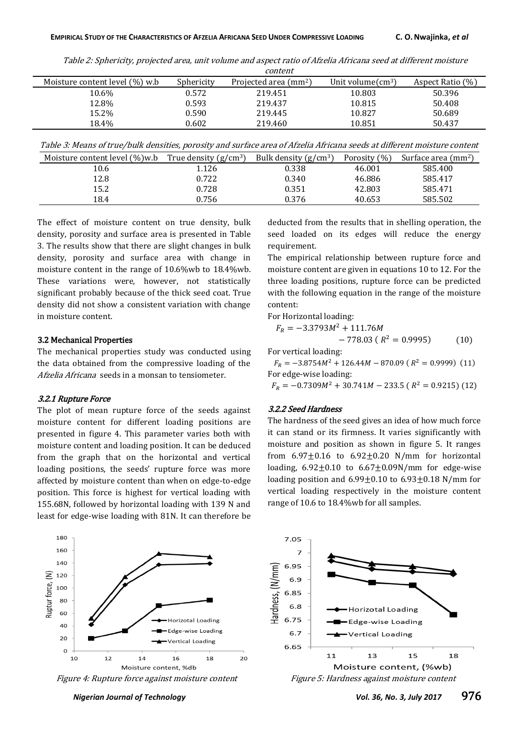Table 2: Sphericity, projected area, unit volume and aspect ratio of Afzelia Africana seed at different moisture

|                                   | content    |                                        |                             |                  |  |
|-----------------------------------|------------|----------------------------------------|-----------------------------|------------------|--|
| Moisture content level $(\%)$ w.b | Sphericity | Projected area $\text{ (mm}^2\text{)}$ | Unit volume $\text{cm}^3$ ) | Aspect Ratio (%) |  |
| 10.6%                             | 0.572      | 219.451                                | 10.803                      | 50.396           |  |
| 12.8%                             | 0.593      | 219.437                                | 10.815                      | 50.408           |  |
| 15.2%                             | 0.590      | 219.445                                | 10.827                      | 50.689           |  |
| 18.4%                             | 0.602      | 219.460                                | 10.851                      | 50.437           |  |

Table 3: Means of true/bulk densities, porosity and surface area of Afzelia Africana seeds at different moisture content

| Moisture content level $(\%)$ w.b | True density $(g/cm3)$ | Bulk density $(g/cm3)$ | Porosity (%) | Surface area (mm <sup>2</sup> ) |
|-----------------------------------|------------------------|------------------------|--------------|---------------------------------|
| 10.6                              | 1.126                  | 0.338                  | 46.001       | 585.400                         |
| 12.8                              | 0.722                  | 0.340                  | 46.886       | 585.417                         |
| 15.2                              | 0.728                  | 0.351                  | 42.803       | 585.471                         |
| 18.4                              | 0.756                  | 0.376                  | 40.653       | 585.502                         |

The effect of moisture content on true density, bulk density, porosity and surface area is presented in Table 3. The results show that there are slight changes in bulk density, porosity and surface area with change in moisture content in the range of 10.6%wb to 18.4%wb. These variations were, however, not statistically significant probably because of the thick seed coat. True density did not show a consistent variation with change in moisture content.

## 3.2 Mechanical Properties

The mechanical properties study was conducted using the data obtained from the compressive loading of the Afzelia Africana seeds in a monsan to tensiometer.

#### 3.2.1 Rupture Force

The plot of mean rupture force of the seeds against moisture content for different loading positions are presented in figure 4. This parameter varies both with moisture content and loading position. It can be deduced from the graph that on the horizontal and vertical loading positions, the seeds' rupture force was more affected by moisture content than when on edge-to-edge position. This force is highest for vertical loading with 155.68N, followed by horizontal loading with 139 N and least for edge-wise loading with 81N. It can therefore be



deducted from the results that in shelling operation, the seed loaded on its edges will reduce the energy requirement.

The empirical relationship between rupture force and moisture content are given in equations 10 to 12. For the three loading positions, rupture force can be predicted with the following equation in the range of the moisture content:

For Horizontal loading:

$$
F_R = -3.3793M^2 + 111.76M
$$
  
- 778.03 ( R<sup>2</sup> = 0.9995) (10)

For vertical loading:

 $F_R = -3.8754M^2 + 126.44M - 870.09$  ( $R^2 = 0$ ) For edge-wise loading:

 $F_R = -0.7309M^2 + 30.741M - 233.5$  ( $R^2 = 0$ )

#### 3.2.2 Seed Hardness

The hardness of the seed gives an idea of how much force it can stand or its firmness. It varies significantly with moisture and position as shown in figure 5. It ranges from  $6.97 \pm 0.16$  to  $6.92 \pm 0.20$  N/mm for horizontal loading,  $6.92 \pm 0.10$  to  $6.67 \pm 0.09$ N/mm for edge-wise loading position and  $6.99\pm0.10$  to  $6.93\pm0.18$  N/mm for vertical loading respectively in the moisture content range of 10.6 to 18.4%wb for all samples.

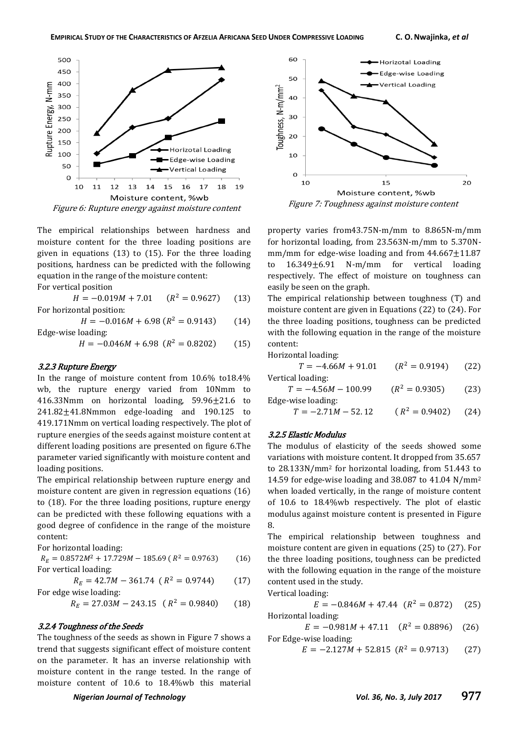

Figure 6: Rupture energy against moisture content

The empirical relationships between hardness and moisture content for the three loading positions are given in equations (13) to (15). For the three loading positions, hardness can be predicted with the following equation in the range of the moisture content:

For vertical position

 $H = -0.019M + 7.01$  $(R^2 = 0.9627)$  $(13)$ For horizontal position:

$$
H = -0.016M + 6.98 (R2 = 0.9143)
$$
 (14)  
Edge-wise loading:

$$
H = -0.046M + 6.98 \ (R^2 = 0.8202) \tag{15}
$$

#### 3.2.3 Rupture Energy

In the range of moisture content from 10.6% to18.4% wb, the rupture energy varied from 10Nmm to 416.33Nmm on horizontal loading,  $59.96 \pm 21.6$  to  $241.82 \pm 41.8$ Nmmon edge-loading and 190.125 to 419.171Nmm on vertical loading respectively. The plot of rupture energies of the seeds against moisture content at different loading positions are presented on figure 6.The parameter varied significantly with moisture content and loading positions.

The empirical relationship between rupture energy and moisture content are given in regression equations (16) to (18). For the three loading positions, rupture energy can be predicted with these following equations with a good degree of confidence in the range of the moisture content:

For horizontal loading:

 $R_E = 0.8572M^2 + 17.729M - 185.69$  ( $R^2 = 0$ )  $(16)$ For vertical loading:

$$
R_E = 42.7M - 361.74 (R^2 = 0.9744)
$$
 (17)  
For edge wise loading:

$$
R_E = 27.03M - 243.15 \quad (R^2 = 0.9840) \tag{18}
$$

#### 3.2.4 Toughness of the Seeds

The toughness of the seeds as shown in Figure 7 shows a trend that suggests significant effect of moisture content on the parameter. It has an inverse relationship with moisture content in the range tested. In the range of moisture content of 10.6 to 18.4%wb this material



property varies from43.75N-m/mm to 8.865N-m/mm for horizontal loading, from 23.563N-m/mm to 5.370Nmm/mm for edge-wise loading and from  $44.667 \pm 11.87$ to 16.349±6.91 N-m/mm for vertical loading respectively. The effect of moisture on toughness can easily be seen on the graph.

The empirical relationship between toughness (T) and moisture content are given in Equations (22) to (24). For the three loading positions, toughness can be predicted with the following equation in the range of the moisture content:

Horizontal loading:

| $T = -4.66M + 91.01$  | $(R^2 = 0.9194)$ | (22) |
|-----------------------|------------------|------|
| Vertical loading:     |                  |      |
| $T = -4.56M - 100.99$ | $(R^2 = 0.9305)$ | (23) |
| Edge-wise loading:    |                  |      |
| $T = -2.71M - 52.12$  | $(R^2 = 0.9402)$ | (24) |

#### 3.2.5 Elastic Modulus

The modulus of elasticity of the seeds showed some variations with moisture content. It dropped from 35.657 to 28.133N/mm<sup>2</sup> for horizontal loading, from 51.443 to 14.59 for edge-wise loading and 38.087 to 41.04 N/mm<sup>2</sup> when loaded vertically, in the range of moisture content of 10.6 to 18.4%wb respectively. The plot of elastic modulus against moisture content is presented in Figure 8.

The empirical relationship between toughness and moisture content are given in equations (25) to (27). For the three loading positions, toughness can be predicted with the following equation in the range of the moisture content used in the study.

Vertical loading:

 $E = -0.846M + 47.44$   $(R^2 = 0.$  $(25)$ Horizontal loading:

 $E = -0.981M + 47.11$   $(R^2 = 0.$  $(26)$ For Edge-wise loading:

$$
E = -2.127M + 52.815 \ (R^2 = 0.9713) \tag{27}
$$